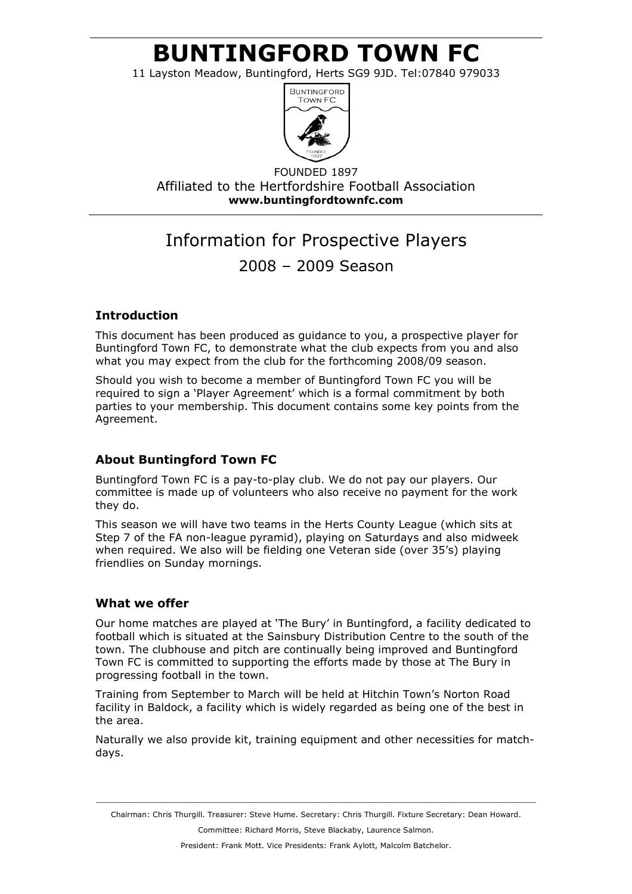# BUNTINGFORD TOWN FC

11 Layston Meadow, Buntingford, Herts SG9 9JD. Tel:07840 979033



FOUNDED 1897 Affiliated to the Hertfordshire Football Association www.buntingfordtownfc.com

# Information for Prospective Players 2008 – 2009 Season

## Introduction

This document has been produced as guidance to you, a prospective player for Buntingford Town FC, to demonstrate what the club expects from you and also what you may expect from the club for the forthcoming 2008/09 season.

Should you wish to become a member of Buntingford Town FC you will be required to sign a 'Player Agreement' which is a formal commitment by both parties to your membership. This document contains some key points from the Agreement.

## About Buntingford Town FC

Buntingford Town FC is a pay-to-play club. We do not pay our players. Our committee is made up of volunteers who also receive no payment for the work they do.

This season we will have two teams in the Herts County League (which sits at Step 7 of the FA non-league pyramid), playing on Saturdays and also midweek when required. We also will be fielding one Veteran side (over 35's) playing friendlies on Sunday mornings.

## What we offer

Our home matches are played at 'The Bury' in Buntingford, a facility dedicated to football which is situated at the Sainsbury Distribution Centre to the south of the town. The clubhouse and pitch are continually being improved and Buntingford Town FC is committed to supporting the efforts made by those at The Bury in progressing football in the town.

Training from September to March will be held at Hitchin Town's Norton Road facility in Baldock, a facility which is widely regarded as being one of the best in the area.

Naturally we also provide kit, training equipment and other necessities for matchdays.

 $\_$  ,  $\_$  ,  $\_$  ,  $\_$  ,  $\_$  ,  $\_$  ,  $\_$  ,  $\_$  ,  $\_$  ,  $\_$  ,  $\_$  ,  $\_$  ,  $\_$  ,  $\_$  ,  $\_$  ,  $\_$  ,  $\_$  ,  $\_$  ,  $\_$  ,  $\_$  ,  $\_$  ,  $\_$  ,  $\_$  ,  $\_$  ,  $\_$  ,  $\_$  ,  $\_$  ,  $\_$  ,  $\_$  ,  $\_$  ,  $\_$  ,  $\_$  ,  $\_$  ,  $\_$  ,  $\_$  ,  $\_$  ,  $\_$  , Chairman: Chris Thurgill. Treasurer: Steve Hume. Secretary: Chris Thurgill. Fixture Secretary: Dean Howard. Committee: Richard Morris, Steve Blackaby, Laurence Salmon.